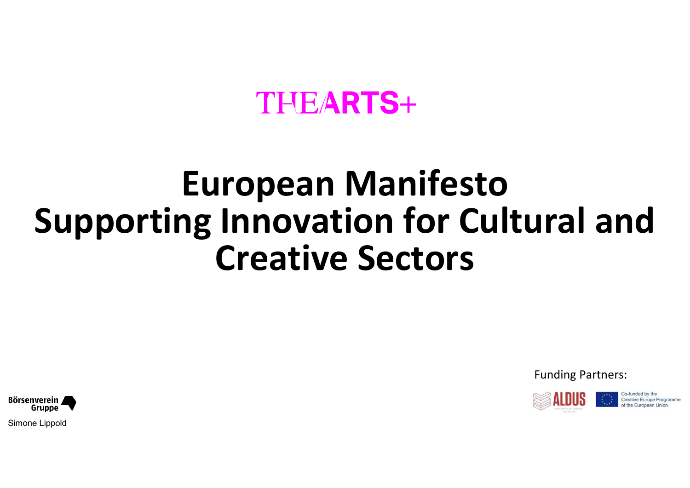## European Manifesto Supporting Innovation for Cultural and Creative Sectors

Funding Partners:



Co-funded by the Creative Europe Program

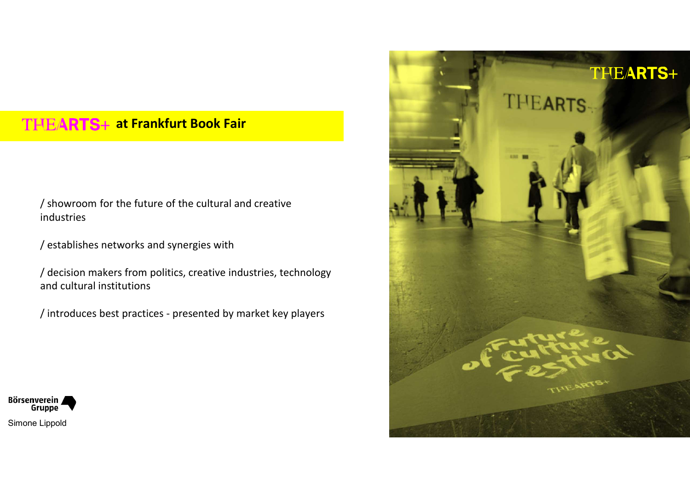### THEARTS+ at Frankfurt Book Fair

TEARTS+ at Frankfurt Book Fair<br>/showroom for the future of the cultural and creative<br>industries<br>/ establishes networks and synergies with industries

VEARTS+ at Frankfurt Book Fair<br>
/ showroom for the future of the cultural and creative<br>
industries<br>
/ establishes networks and synergies with<br>
/ decision makers from politics, creative industries, technology<br>
and cultural VEARTS+ at Frankfurt Book Fair<br>
y showroom for the future of the cultural and creative<br>
industries<br>
y establishes networks and synergies with<br>
y decision makers from politics, creative industries, technology<br>
and cultural and cultural institutions



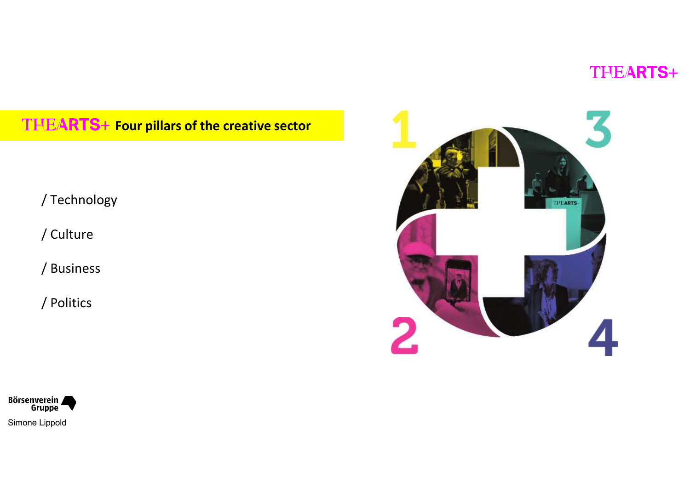## THEARTS+ Four pillars of the creative sector

/ Technology

/ Culture

/ Business

/ Politics



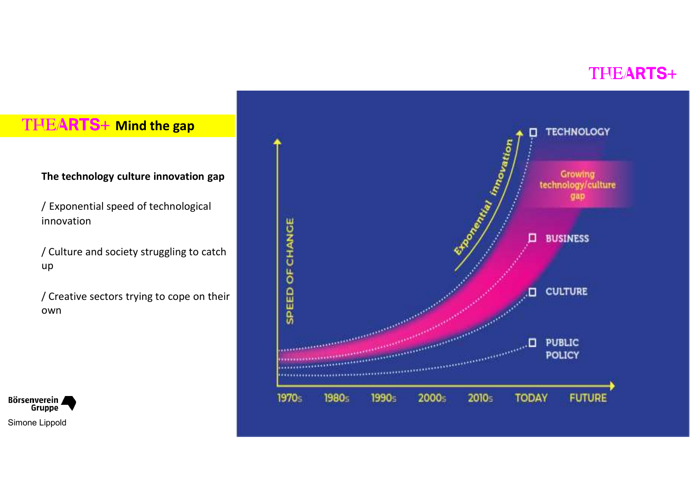innovation

up and the state of the state of the state of the state of the state of the state of the state of the state of

/ Creative sectors trying to cope on their own



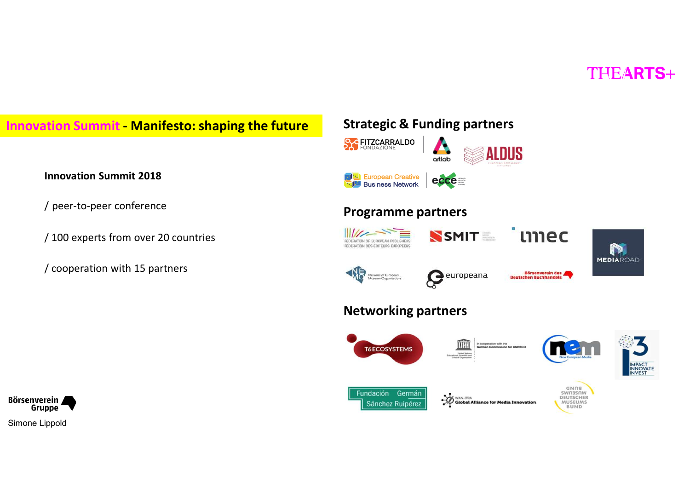







### Innovation Summit 2018

/ 100 experts from over 20 countries

/ cooperation with 15 partners

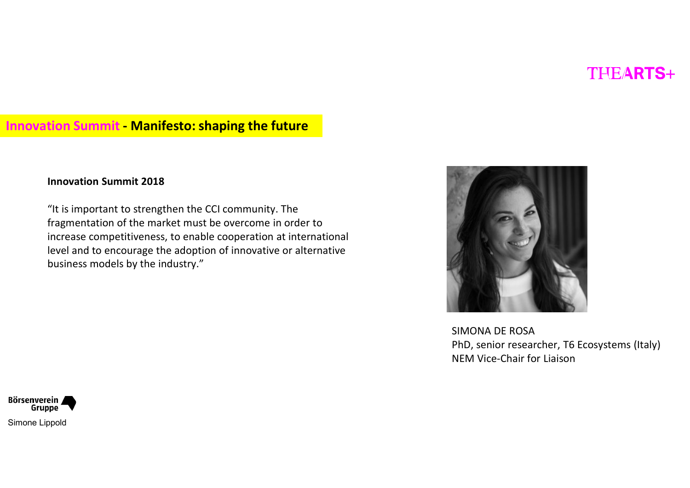# Innovation Summit - Manifesto: shaping the future

### Innovation Summit 2018

**Example 15 Tends 10**<br> **Example 10 Tends 10**<br> **Example 10 Tends 10**<br>
<br>
The fragmentation of the market must be overcome in order to<br>
increase competitiveness, to enable cooperation at international<br>
level and to encourage fragmentation of the market must be overcome in order to increase competitiveness, to enable cooperation at international level and to encourage the adoption of innovative or alternative business models by the industry."



SIMONA DE ROSA PhD, senior researcher, T6 Ecosystems (Italy) NEM Vice-Chair for Liaison

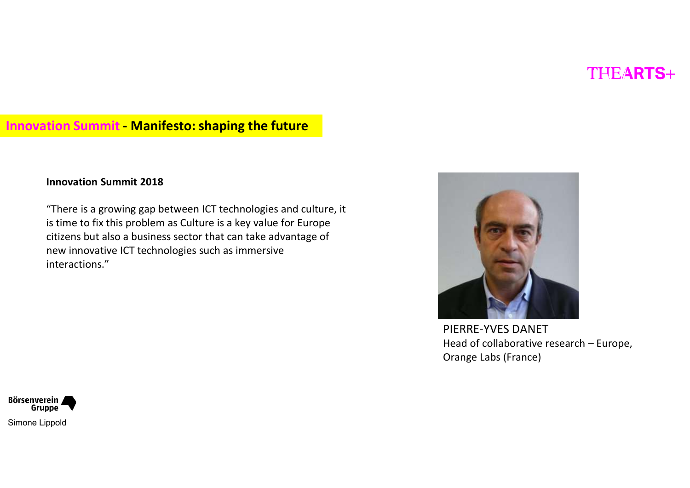# Innovation Summit - Manifesto: shaping the future

### Innovation Summit 2018

"There is a growing gap between ICT technologies and culture, it is time to fix this problem as Culture is a key value for Europe citizens but also a business sector that can take advantage of new innovative ICT technologies such as immersive interactions."



PIERRE-YVES DANET Orange Labs (France)

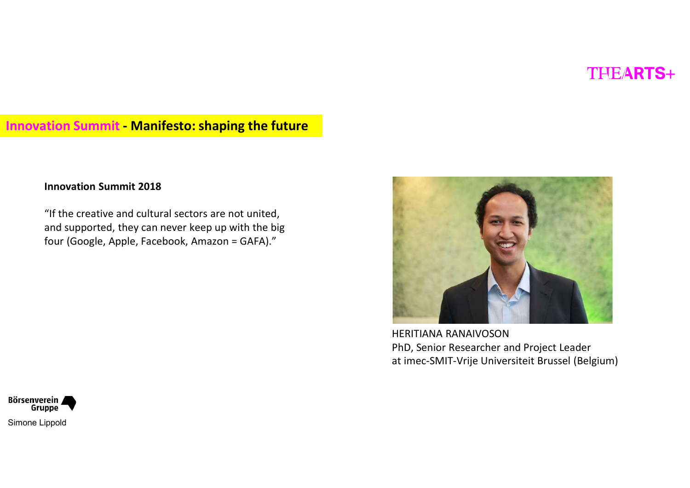# Innovation Summit - Manifesto: shaping the future<br>Innovation Summit 2018

### Innovation Summit 2018

"If the creative and cultural sectors are not united, and supported, they can never keep up with the big four (Google, Apple, Facebook, Amazon = GAFA)."



PhD, Senior Researcher and Project Leader at imec-SMIT-Vrije Universiteit Brussel (Belgium)

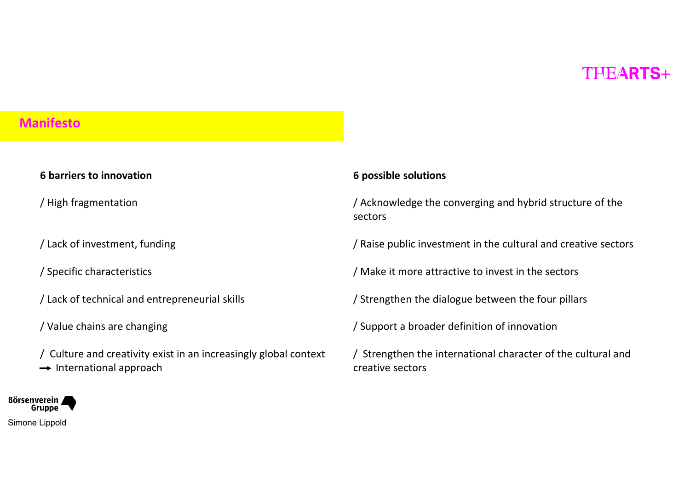### Manifesto

# nifesto<br>
6 barriers to innovation<br>
6 partiers to innovation<br>
6 partiers to innovation<br>
6 partiers to innovation<br>
6 partiers to innovation<br>
6 partiers to innovation<br>
5 partiers to innovation<br>
5 partiers to innovation<br>
5 par

nifesto<br>6 barriers to innovation<br>/ High fragmentation<br>/ Lack of investment, funding

**nifesto**<br> **6 barriers to innovation**<br>
/ High fragmentation<br>
/ Lack of investment, funding<br>
/ Specific characteristics<br>
/ Lack of technical and entrepreneurial skills mifesto<br>
6 barriers to innovation<br>
/ High fragmentation<br>
/ Lack of investment, funding<br>
/ Specific characteristics<br>
/ Lack of technical and entrepreneurial skills<br>
/ Value chains are changing / Lack of technical and entrepreneurial skills

/ Value chains are changing

- / Culture and creativity exist in an increasingly global context
- $\rightarrow$  International approach

### 6 possible solutions

THEARTS+<br>6 possible solutions<br>/ Acknowledge the converging and hybrid structure of the<br>sectors<br>/ Raise public investment in the cultural and creative sectors sectors THE/**ARTS**+<br>6 possible solutions<br>/ Acknowledge the converging and hybrid structure of the<br>sectors<br>/ Raise public investment in the cultural and creative sectors<br>/ Make it more attractive to invest in the sectors<br>/ Strength

/ Make it more attractive to invest in the sectors

/ Strengthen the dialogue between the four pillars

/ Support a broader definition of innovation

/ Strengthen the international character of the cultural and creative sectors

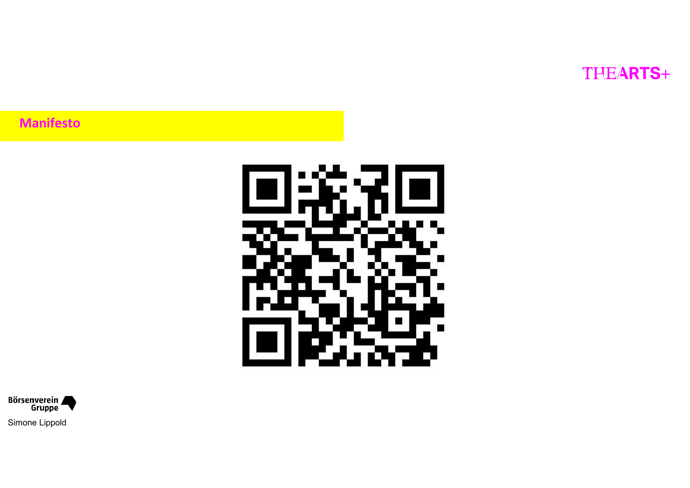Manifesto